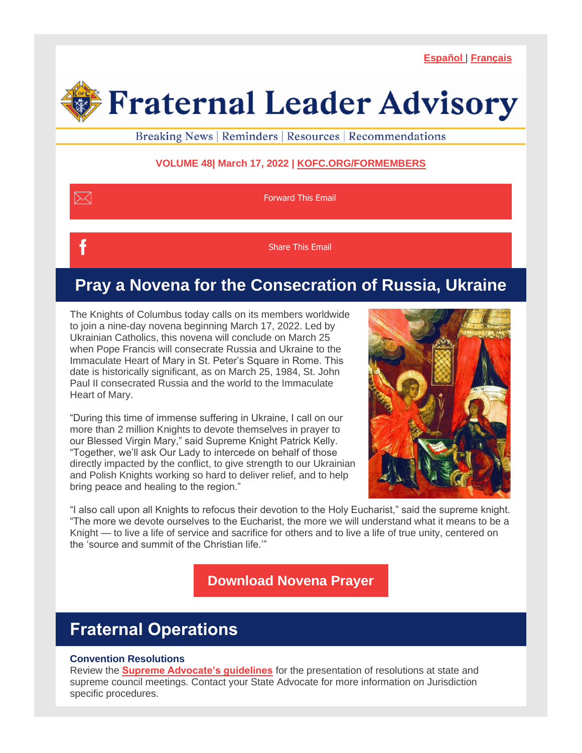**[Español](https://conta.cc/3qgtv3H)** | **[Français](https://conta.cc/3igZhZO)**

# **Fraternal Leader Advisory**

Breaking News | Reminders | Resources | Recommendations

## **VOLUME 48| March 17, 2022 | [KOFC.ORG/FORMEMBERS](http://kofc.org/en/for-members/resources/index.html?1tab=1tab0?utm_source=CC-FLA-2022-02-3+&utm_medium=email&utm_campaign=FLA-2022-02-3+)**

| <b>Forward This Email</b> |
|---------------------------|
| <b>Share This Email</b>   |

# **Pray a Novena for the Consecration of Russia, Ukraine**

The Knights of Columbus today calls on its members worldwide to join a nine-day novena beginning March 17, 2022. Led by Ukrainian Catholics, this novena will conclude on March 25 when Pope Francis will consecrate Russia and Ukraine to the Immaculate Heart of Mary in St. Peter's Square in Rome. This date is historically significant, as on March 25, 1984, St. John Paul II consecrated Russia and the world to the Immaculate Heart of Mary.

"During this time of immense suffering in Ukraine, I call on our more than 2 million Knights to devote themselves in prayer to our Blessed Virgin Mary," said Supreme Knight Patrick Kelly. "Together, we'll ask Our Lady to intercede on behalf of those directly impacted by the conflict, to give strength to our Ukrainian and Polish Knights working so hard to deliver relief, and to help bring peace and healing to the region."



"I also call upon all Knights to refocus their devotion to the Holy Eucharist," said the supreme knight. "The more we devote ourselves to the Eucharist, the more we will understand what it means to be a Knight — to live a life of service and sacrifice for others and to live a life of true unity, centered on the 'source and summit of the Christian life.'"

**[Download Novena Prayer](https://www.kofc.org/en/resources/communications/I11337-annunciation-novena.pdf)**

# **Fraternal Operations**

### **Convention Resolutions**

Review the **[Supreme Advocate's guidelines](https://myemail.constantcontact.com/Resolutions-Presented-at-State-and-Supreme-Council-Meetings.html?soid=1100501894679&aid=hOtIrc03D14)** for the presentation of resolutions at state and supreme council meetings. Contact your State Advocate for more information on Jurisdiction specific procedures.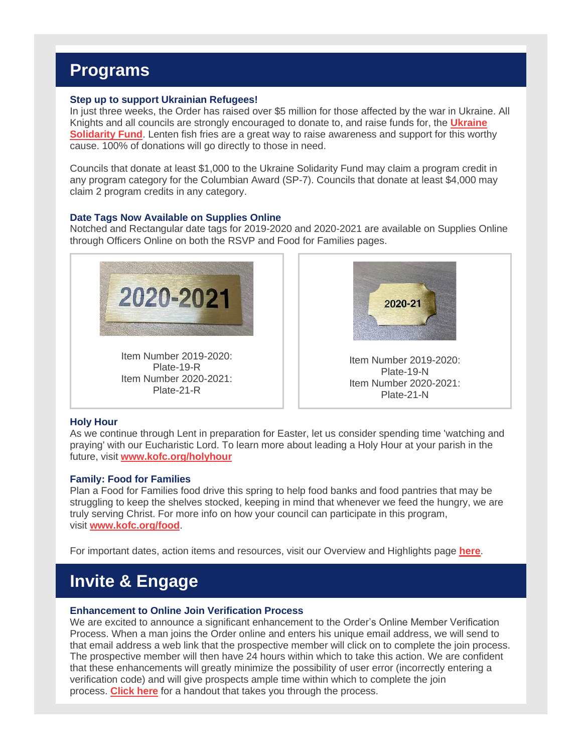## **Programs**

#### **Step up to support Ukrainian Refugees!**

In just three weeks, the Order has raised over \$5 million for those affected by the war in Ukraine. All Knights and all councils are strongly encouraged to donate to, and raise funds for, the **[Ukraine](https://www.kofc.org/secure/en/donate/ukraine.html)  [Solidarity Fund](https://www.kofc.org/secure/en/donate/ukraine.html)**. Lenten fish fries are a great way to raise awareness and support for this worthy cause. 100% of donations will go directly to those in need.

Councils that donate at least \$1,000 to the Ukraine Solidarity Fund may claim a program credit in any program category for the Columbian Award (SP-7). Councils that donate at least \$4,000 may claim 2 program credits in any category.

#### **Date Tags Now Available on Supplies Online**

Notched and Rectangular date tags for 2019-2020 and 2020-2021 are available on Supplies Online through Officers Online on both the RSVP and Food for Families pages.



Item Number 2019-2020: Plate-19-R Item Number 2020-2021: Plate-21-R



Item Number 2019-2020: Plate-19-N Item Number 2020-2021: Plate-21-N

#### **Holy Hour**

As we continue through Lent in preparation for Easter, let us consider spending time 'watching and praying' with our Eucharistic Lord. To learn more about leading a Holy Hour at your parish in the future, visit **[www.kofc.org/holyhour](http://www.kofc.org/holyhour)**

#### **Family: Food for Families**

Plan a Food for Families food drive this spring to help food banks and food pantries that may be struggling to keep the shelves stocked, keeping in mind that whenever we feed the hungry, we are truly serving Christ. For more info on how your council can participate in this program, visit **[www.kofc.org/food](http://www.kofc.org/food)**.

For important dates, action items and resources, visit our Overview and Highlights page **[here](https://www.kofc.org/en/what-we-do/faith-in-action-programs/resources/index.html?1tab=1tab0?utm_source=CC-FLA-2021-01-20+&utm_medium=email&utm_campaign=FLA-2021-01-20+)**.

## **Invite & Engage**

#### **Enhancement to Online Join Verification Process**

We are excited to announce a significant enhancement to the Order's Online Member Verification Process. When a man joins the Order online and enters his unique email address, we will send to that email address a web link that the prospective member will click on to complete the join process. The prospective member will then have 24 hours within which to take this action. We are confident that these enhancements will greatly minimize the possibility of user error (incorrectly entering a verification code) and will give prospects ample time within which to complete the join process. **[Click here](https://files.constantcontact.com/716460b3001/5e8410ad-8f6a-4c9e-b041-c8eac8add80b.pdf)** for a handout that takes you through the process.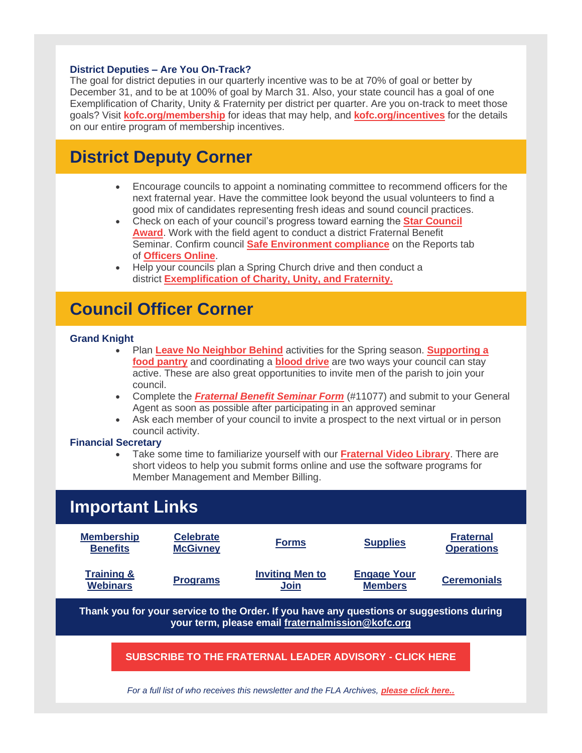#### **District Deputies – Are You On-Track?**

The goal for district deputies in our quarterly incentive was to be at 70% of goal or better by December 31, and to be at 100% of goal by March 31. Also, your state council has a goal of one Exemplification of Charity, Unity & Fraternity per district per quarter. Are you on-track to meet those goals? Visit **[kofc.org/membership](https://www.kofc.org/en/for-members/resources/membership-growth/index.html?1tab=1tab1)** for ideas that may help, and **[kofc.org/incentives](https://www.kofc.org/en/for-members/resources/membership-growth/index.html?1tab=1tab0&utm_medium=email&utm_campaign=FLA-2022-02-3%20)** for the details on our entire program of membership incentives.

## **District Deputy Corner**

- Encourage councils to appoint a nominating committee to recommend officers for the next fraternal year. Have the committee look beyond the usual volunteers to find a good mix of candidates representing fresh ideas and sound council practices.
- Check on each of your council's progress toward earning the **[Star Council](https://www.kofc.org/en/for-members/resources/star-council-award.html?1tab=1tab0)  [Award](https://www.kofc.org/en/for-members/resources/star-council-award.html?1tab=1tab0)**. Work with the field agent to conduct a district Fraternal Benefit Seminar. Confirm council **[Safe Environment compliance](https://www.kofc.org/en/resources/safe-environment-program/safe-environment-program-information-guide.pdf)** on the Reports tab of **[Officers Online](https://www.kofc.org/applicationportal/AuthorizeUser.action)**.
- Help your councils plan a Spring Church drive and then conduct a district **[Exemplification of Charity, Unity, and Fraternity.](https://www.kofc.org/en/for-members/resources/ceremonials.html?1tab=1tab0)**

## **Council Officer Corner**

#### **Grand Knight**

- Plan **[Leave No Neighbor Behind](http://kofc.org/en/what-we-do/faith-in-action-programs/community/leave-no-neighbor-behind.html)** activities for the Spring season. **[Supporting a](http://kofc.org/en/what-we-do/faith-in-action-programs/community/feed-the-hungry.html)  [food pantry](http://kofc.org/en/what-we-do/faith-in-action-programs/community/feed-the-hungry.html)** and coordinating a **[blood drive](http://kofc.org/en/what-we-do/faith-in-action-programs/community/participate-in-blood-drives.html)** are two ways your council can stay active. These are also great opportunities to invite men of the parish to join your council.
- Complete the *[Fraternal Benefit Seminar Form](http://kofc.org/en/forms/council/11077-fraternal-benefit-seminar-form.pdf)* (#11077) and submit to your General Agent as soon as possible after participating in an approved seminar
- Ask each member of your council to invite a prospect to the next virtual or in person council activity.

#### **Financial Secretary**

• Take some time to familiarize yourself with our **[Fraternal Video Library](http://kofc.org/en/videos/fraternal-training-library.html)**. There are short videos to help you submit forms online and use the software programs for Member Management and Member Billing.

| <b>Important Links</b>                                                                                                                        |                                     |                                |                                      |                                       |  |
|-----------------------------------------------------------------------------------------------------------------------------------------------|-------------------------------------|--------------------------------|--------------------------------------|---------------------------------------|--|
| <b>Membership</b><br><b>Benefits</b>                                                                                                          | <b>Celebrate</b><br><b>McGivney</b> | <b>Forms</b>                   | <b>Supplies</b>                      | <b>Fraternal</b><br><b>Operations</b> |  |
| <b>Training &amp;</b><br><b>Webinars</b>                                                                                                      | <b>Programs</b>                     | <b>Inviting Men to</b><br>Join | <b>Engage Your</b><br><b>Members</b> | <b>Ceremonials</b>                    |  |
| Thank you for your service to the Order. If you have any questions or suggestions during<br>your term, please email fraternalmission@kofc.org |                                     |                                |                                      |                                       |  |
| <b>SUBSCRIBE TO THE FRATERNAL LEADER ADVISORY - CLICK HERE</b>                                                                                |                                     |                                |                                      |                                       |  |
| For a full list of who receives this newsletter and the FLA Archives, <b>please click here</b>                                                |                                     |                                |                                      |                                       |  |